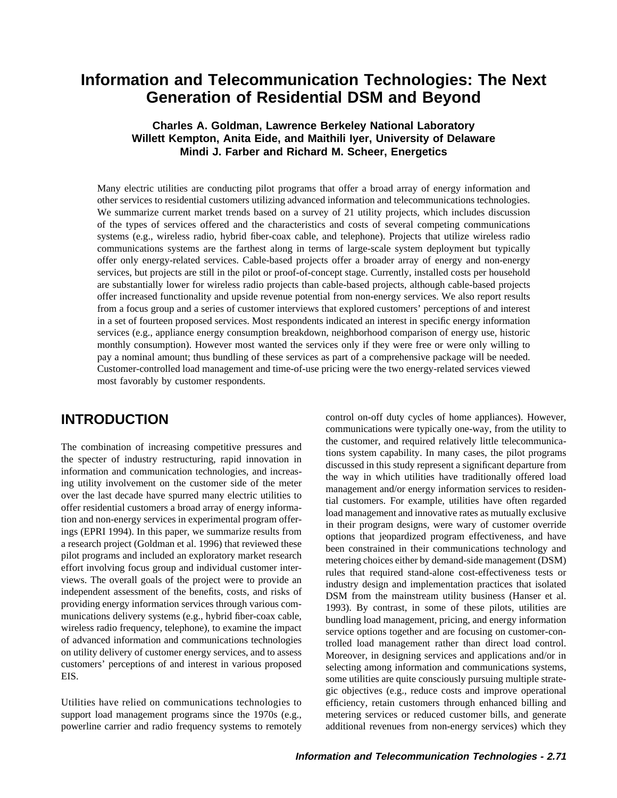# **Information and Telecommunication Technologies: The Next Generation of Residential DSM and Beyond**

# **Charles A. Goldman, Lawrence Berkeley National Laboratory Willett Kempton, Anita Eide, and Maithili Iyer, University of Delaware Mindi J. Farber and Richard M. Scheer, Energetics**

Many electric utilities are conducting pilot programs that offer a broad array of energy information and other services to residential customers utilizing advanced information and telecommunications technologies. We summarize current market trends based on a survey of 21 utility projects, which includes discussion of the types of services offered and the characteristics and costs of several competing communications systems (e.g., wireless radio, hybrid fiber-coax cable, and telephone). Projects that utilize wireless radio communications systems are the farthest along in terms of large-scale system deployment but typically offer only energy-related services. Cable-based projects offer a broader array of energy and non-energy services, but projects are still in the pilot or proof-of-concept stage. Currently, installed costs per household are substantially lower for wireless radio projects than cable-based projects, although cable-based projects offer increased functionality and upside revenue potential from non-energy services. We also report results from a focus group and a series of customer interviews that explored customers' perceptions of and interest in a set of fourteen proposed services. Most respondents indicated an interest in specific energy information services (e.g., appliance energy consumption breakdown, neighborhood comparison of energy use, historic monthly consumption). However most wanted the services only if they were free or were only willing to pay a nominal amount; thus bundling of these services as part of a comprehensive package will be needed. Customer-controlled load management and time-of-use pricing were the two energy-related services viewed most favorably by customer respondents.

Utilities have relied on communications technologies to efficiency, retain customers through enhanced billing and support load management programs since the 1970s (e.g., metering services or reduced customer bills, and generate powerline carrier and radio frequency systems to remotely additional revenues from non-energy services) which they

control on-off duty cycles of home appliances). However, **INTRODUCTION** communications were typically one-way, from the utility to The combination of increasing competitive pressures and<br>
the ustomer, and required relatively little telecommunica-<br>
the specter of industry restructuring, rapid innovation in<br>
idissussed in this sudy represent a significa EIS.<br>Some utilities are quite consciously pursuing multiple strategic objectives (e.g., reduce costs and improve operational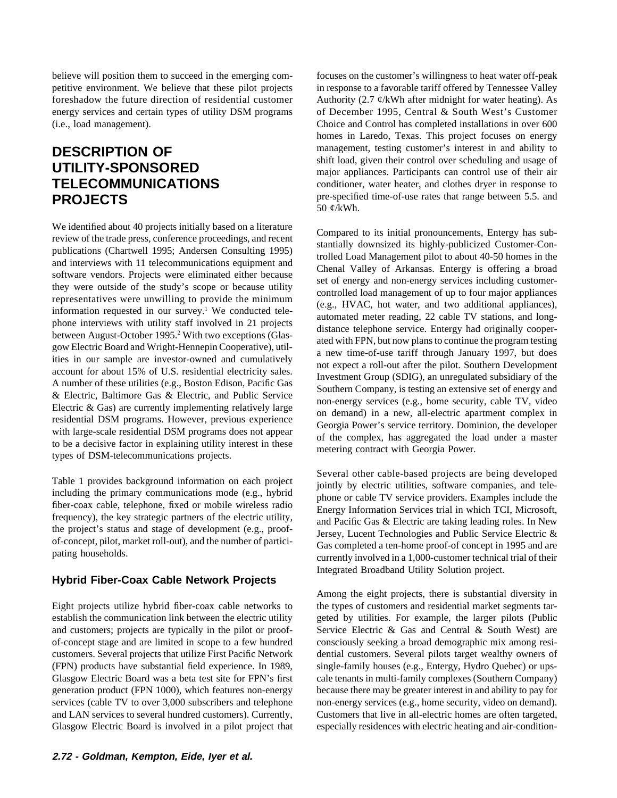petitive environment. We believe that these pilot projects in response to a favorable tariff offered by Tennessee Valley energy services and certain types of utility DSM programs of December 1995, Central & South West's Customer (i.e., load management). Choice and Control has completed installations in over 600

We identified about 40 projects initially based on a literature<br>
review of the transition (Scharter) (solution (Scharter) and interature<br>
review of the transitions (Chartwell 1995; Andcream Consulting 1995)<br>
streamed inte

# **Hybrid Fiber-Coax Cable Network Projects**

Eight projects utilize hybrid fiber-coax cable networks to the types of customers and residential market segments tarestablish the communication link between the electric utility geted by utilities. For example, the larger pilots (Public and customers; projects are typically in the pilot or proof- Service Electric & Gas and Central & South West) are of-concept stage and are limited in scope to a few hundred consciously seeking a broad demographic mix among resicustomers. Several projects that utilize First Pacific Network dential customers. Several pilots target wealthy owners of (FPN) products have substantial field experience. In 1989, single-family houses (e.g., Entergy, Hydro Quebec) or ups-Glasgow Electric Board was a beta test site for FPN's first cale tenants in multi-family complexes (Southern Company) generation product (FPN 1000), which features non-energy because there may be greater interest in and ability to pay for services (cable TV to over 3,000 subscribers and telephone non-energy services (e.g., home security, video on demand). and LAN services to several hundred customers). Currently, Customers that live in all-electric homes are often targeted, Glasgow Electric Board is involved in a pilot project that especially residences with electric heating and air-condition-

believe will position them to succeed in the emerging com-<br>focuses on the customer's willingness to heat water off-peak foreshadow the future direction of residential customer Authority (2.7  $\ell$ /kWh after midnight for water heating). As homes in Laredo, Texas. This project focuses on energy **DESCRIPTION OF**<br> **UTILITY-SPONSORED**<br> **TELECOMMUNICATIONS**<br> **ELECOMMUNICATIONS**<br> **ELECOMMUNICATIONS** conditioner, water heater, and clothes dryer in response to **PROJECTS** pre-specified time-of-use rates that range between 5.5. and 50 ¢/kWh.

Table 1 provides background information on each project<br>
including the primary communications mode (e.g., hybrid<br>
fiber-coax cable, telephone, fixed or mobile wireless radio<br>
frequency), the key strategic partners of the e Integrated Broadband Utility Solution project.

Among the eight projects, there is substantial diversity in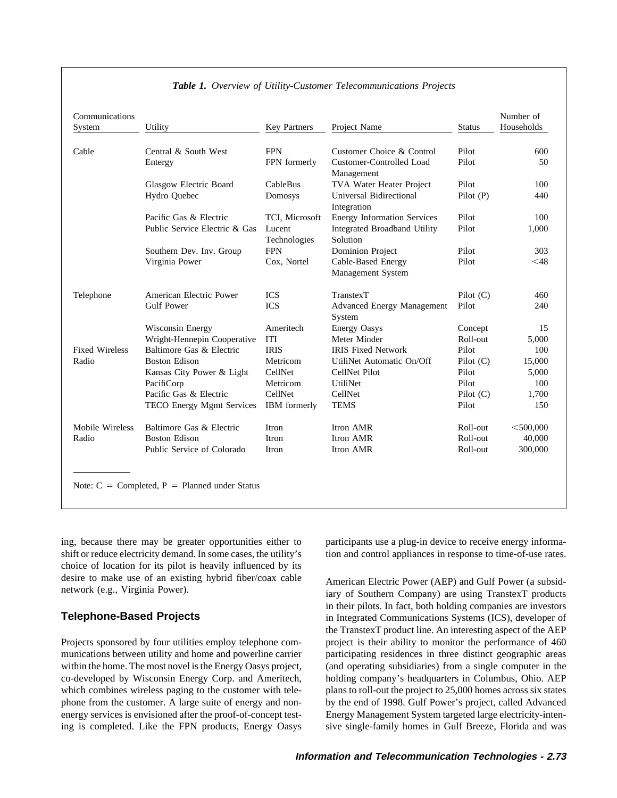| Communications<br>System | Utility                                           | <b>Key Partners</b>    | Project Name                                   | <b>Status</b> | Number of<br>Households |
|--------------------------|---------------------------------------------------|------------------------|------------------------------------------------|---------------|-------------------------|
| Cable                    | Central & South West                              | <b>FPN</b>             | Customer Choice & Control                      | Pilot         | 600                     |
|                          | Entergy                                           | FPN formerly           | Customer-Controlled Load<br>Management         | Pilot         | 50                      |
|                          | Glasgow Electric Board                            | CableBus               | TVA Water Heater Project                       | Pilot         | 100                     |
|                          | Hydro Quebec                                      | Domosys                | Universal Bidirectional<br>Integration         | Pilot(P)      | 440                     |
|                          | Pacific Gas & Electric                            | TCI, Microsoft         | <b>Energy Information Services</b>             | Pilot         | 100                     |
|                          | Public Service Electric & Gas                     | Lucent<br>Technologies | Integrated Broadband Utility<br>Solution       | Pilot         | 1,000                   |
|                          | Southern Dev. Inv. Group                          | <b>FPN</b>             | <b>Dominion Project</b>                        | Pilot         | 303                     |
|                          | Virginia Power                                    | Cox, Nortel            | Cable-Based Energy<br><b>Management System</b> | Pilot         | $<$ 48                  |
| Telephone                | American Electric Power                           | <b>ICS</b>             | <b>TranstexT</b>                               | Pilot $(C)$   | 460                     |
|                          | <b>Gulf Power</b>                                 | <b>ICS</b>             | <b>Advanced Energy Management</b><br>System    | Pilot         | 240                     |
|                          | Wisconsin Energy                                  | Ameritech              | <b>Energy Oasys</b>                            | Concept       | 15                      |
|                          | Wright-Hennepin Cooperative                       | <b>ITI</b>             | Meter Minder                                   | Roll-out      | 5,000                   |
| <b>Fixed Wireless</b>    | Baltimore Gas & Electric                          | <b>IRIS</b>            | <b>IRIS Fixed Network</b>                      | Pilot         | 100                     |
| Radio                    | <b>Boston Edison</b>                              | Metricom               | UtiliNet Automatic On/Off                      | Pilot(C)      | 15,000                  |
|                          | Kansas City Power & Light                         | CellNet                | CellNet Pilot                                  | Pilot         | 5,000                   |
|                          | PacifiCorp                                        | Metricom               | UtiliNet                                       | Pilot         | 100                     |
|                          | Pacific Gas & Electric                            | CellNet                | CellNet                                        | Pilot $(C)$   | 1,700                   |
|                          | TECO Energy Mgmt Services                         | IBM formerly           | <b>TEMS</b>                                    | Pilot         | 150                     |
| Mobile Wireless          | Baltimore Gas & Electric                          | Itron                  | Itron AMR                                      | Roll-out      | $<$ 500,000             |
| Radio                    | <b>Boston Edison</b>                              | Itron                  | Itron AMR                                      | Roll-out      | 40,000                  |
|                          | Public Service of Colorado                        | Itron                  | Itron AMR                                      | Roll-out      | 300,000                 |
|                          | Note: $C =$ Completed, $P =$ Planned under Status |                        |                                                |               |                         |

### *Table 1. Overview of Utility-Customer Telecommunications Projects*

choice of location for its pilot is heavily influenced by its desire to make use of an existing hybrid fiber/coax cable<br>
American Electric Power (AEP) and Gulf Power (a subsid-<br>
iary of Southern Company) are using TranstexT products

munications between utility and home and powerline carrier participating residences in three distinct geographic areas within the home. The most novel is the Energy Oasys project, (and operating subsidiaries) from a single computer in the co-developed by Wisconsin Energy Corp. and Ameritech, holding company's headquarters in Columbus, Ohio. AEP which combines wireless paging to the customer with tele-<br>plans to roll-out the project to 25,000 homes across six states phone from the customer. A large suite of energy and non- by the end of 1998. Gulf Power's project, called Advanced energy services is envisioned after the proof-of-concept test- Energy Management System targeted large electricity-intening is completed. Like the FPN products, Energy Oasys sive single-family homes in Gulf Breeze, Florida and was

ing, because there may be greater opportunities either to participants use a plug-in device to receive energy informashift or reduce electricity demand. In some cases, the utility's tion and control appliances in response to time-of-use rates.

in their pilots. In fact, both holding companies are investors **Telephone-Based Projects** in Integrated Communications Systems (ICS), developer of the TranstexT product line. An interesting aspect of the AEP Projects sponsored by four utilities employ telephone com- project is their ability to monitor the performance of 460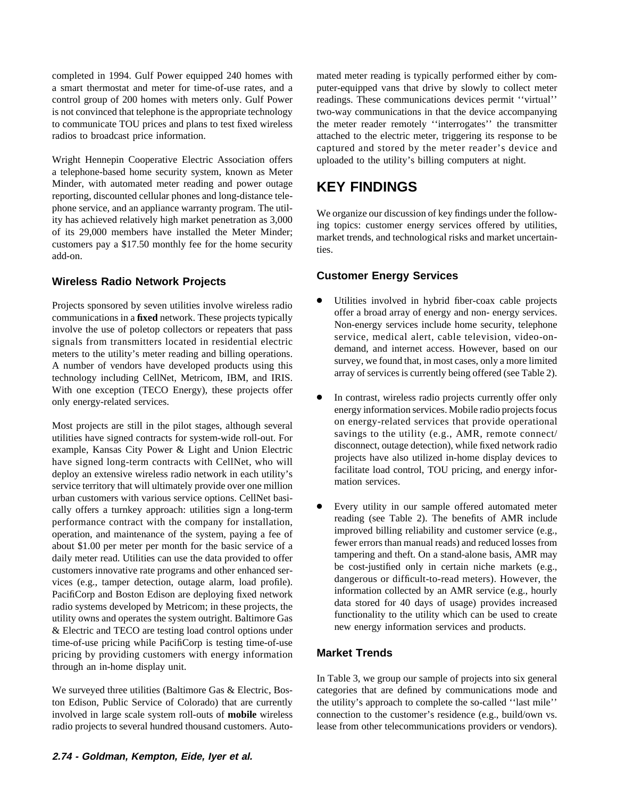completed in 1994. Gulf Power equipped 240 homes with mated meter reading is typically performed either by coma smart thermostat and meter for time-of-use rates, and a puter-equipped vans that drive by slowly to collect meter control group of 200 homes with meters only. Gulf Power readings. These communications devices permit ''virtual'' is not convinced that telephone is the appropriate technology two-way communications in that the device accompanying to communicate TOU prices and plans to test fixed wireless the meter reader remotely ''interrogates'' the transmitter radios to broadcast price information.  $\qquad \qquad$  attached to the electric meter, triggering its response to be

Wright Hennepin Cooperative Electric Association offers uploaded to the utility's billing computers at night. a telephone-based home security system, known as Meter Minder, with automated meter reading and power outage **KEY FINDINGS** reporting, discounted cellular phones and long-distance telephone service, and an appliance warranty program. The util-<br>ity has achieved relatively high market penetration as 3,000<br>of its 29,000 members have installed the Meter Minder;<br>customer energy services offered by utilities,

# **Customer Energy Services Wireless Radio Network Projects**

Projects sponsored by seven utilities involve wireless radio<br>
communications in a **fixed** network. These projects typically<br>
involve the use of poletop collectors or repeaters that pass<br>
signals from transmitters located i With one exception (TECO Energy), these projects offer<br>
only energy information services. Mobile radio projects focus<br>
only energy information services. Mobile radio projects focus

utilities have signed contracts for system-wide roll-out. For<br>example, Kansas City Power & Light and Union Electric<br>have signed long-term contracts with CellNet, who will<br>deploy an extensive wireless radio network in each urban customers with various service options. CellNet basi cally offers a turnkey approach: utilities sign a long-term<br>
performance contract with the company for installation,<br>
operation, and maintenance of the system, paying a fee of<br>
about \$1.00 per meter per month for the basic about \$1.00 per meter per month for the basic service of a<br>daily meter read. Hillities can use the data provided to offer tampering and theft. On a stand-alone basis, AMR may daily meter read. Utilities can use the data provided to offer<br>customers innovative rate programs and other enhanced ser-<br>vices (e.g., tamper detection, outage alarm, load profile).<br>PacifiCorp and Boston Edison are deployi utility owns and operates the system outright. Baltimore Gas<br>& Electric and TECO are testing load control options under new energy information services and products. time-of-use pricing while PacifiCorp is testing time-of-use pricing by providing customers with energy information **Market Trends** through an in-home display unit.

We surveyed three utilities (Baltimore Gas & Electric, Bos- categories that are defined by communications mode and ton Edison, Public Service of Colorado) that are currently the utility's approach to complete the so-called "last mile" involved in large scale system roll-outs of **mobile** wireless connection to the customer's residence (e.g., build/own vs. radio projects to several hundred thousand customers. Auto- lease from other telecommunications providers or vendors).

captured and stored by the meter reader's device and

- 
- Most projects are still in the pilot stages, although several on energy-related services that provide operational<br>savings to the utility (e.g., AMR, remote connect/<br>savings to the utility (e.g., AMR, remote connect/
	-

In Table 3, we group our sample of projects into six general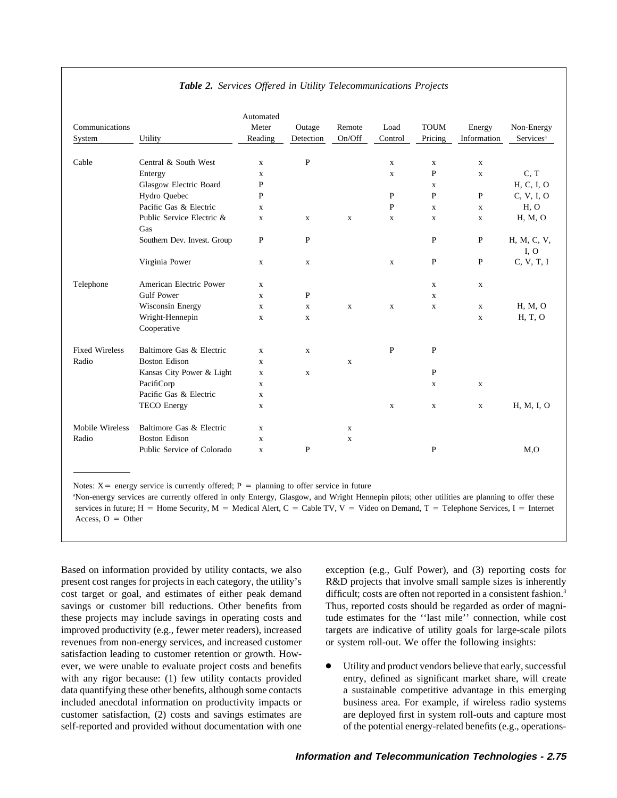| Communications<br>System | Utility                          | Automated<br>Meter<br>Reading | Outage<br>Detection | Remote<br>On/Off | Load<br>Control | <b>TOUM</b><br>Pricing | Energy<br>Information | Non-Energy<br>Services <sup>a</sup> |
|--------------------------|----------------------------------|-------------------------------|---------------------|------------------|-----------------|------------------------|-----------------------|-------------------------------------|
|                          |                                  |                               |                     |                  |                 |                        |                       |                                     |
| Cable                    | Central & South West             | $\mathbf X$                   | ${\bf P}$           |                  | $\mathbf X$     | $\mathbf X$            | $\mathbf X$           |                                     |
|                          | Entergy                          | $\mathbf x$                   |                     |                  | $\mathbf x$     | $\mathbf{P}$           | $\mathbf X$           | C, T                                |
|                          | Glasgow Electric Board           | $\mathbf P$                   |                     |                  |                 | $\mathbf X$            |                       | H, C, I, O                          |
|                          | Hydro Quebec                     | $\mathbf{P}$                  |                     |                  | P               | $\mathbf{P}$           | $\mathbf{P}$          | C, V, I, O                          |
|                          | Pacific Gas & Electric           | $\mathbf x$                   |                     |                  | $\mathbf{P}$    | $\mathbf x$            | $\mathbf X$           | H, O                                |
|                          | Public Service Electric &<br>Gas | X                             | X                   | X                | X               | X                      | X                     | H, M, O                             |
|                          | Southern Dev. Invest. Group      | $\mathbf{P}$                  | $\mathbf{P}$        |                  |                 | $\mathbf{P}$           | $\mathbf{P}$          | H, M, C, V,<br>I, O                 |
|                          | Virginia Power                   | $\mathbf X$                   | $\mathbf X$         |                  | $\mathbf X$     | $\mathbf{P}$           | $\mathbf P$           | C, V, T, I                          |
| Telephone                | American Electric Power          | $\mathbf X$                   |                     |                  |                 | $\mathbf{x}$           | $\mathbf X$           |                                     |
|                          | <b>Gulf Power</b>                | $\mathbf x$                   | P                   |                  |                 | $\mathbf X$            |                       |                                     |
|                          | Wisconsin Energy                 | $\mathbf X$                   | $\mathbf X$         | $\mathbf X$      | $\mathbf X$     | $\mathbf X$            | $\mathbf X$           | H, M, O                             |
|                          | Wright-Hennepin<br>Cooperative   | $\mathbf X$                   | $\mathbf X$         |                  |                 |                        | $\mathbf{x}$          | H, T, O                             |
| <b>Fixed Wireless</b>    | Baltimore Gas & Electric         | $\mathbf X$                   | $\mathbf X$         |                  | ${\bf P}$       | P                      |                       |                                     |
| Radio                    | <b>Boston Edison</b>             | $\mathbf X$                   |                     | $\mathbf X$      |                 |                        |                       |                                     |
|                          | Kansas City Power & Light        | $\mathbf x$                   | $\mathbf X$         |                  |                 | $\mathbf{P}$           |                       |                                     |
|                          | PacifiCorp                       | $\mathbf x$                   |                     |                  |                 | $\mathbf x$            | $\mathbf X$           |                                     |
|                          | Pacific Gas & Electric           | $\mathbf X$                   |                     |                  |                 |                        |                       |                                     |
|                          | <b>TECO</b> Energy               | $\mathbf x$                   |                     |                  | $\mathbf X$     | $\mathbf X$            | $\mathbf X$           | H, M, I, O                          |
| Mobile Wireless          | Baltimore Gas & Electric         | $\mathbf X$                   |                     | $\mathbf X$      |                 |                        |                       |                                     |
| Radio                    | <b>Boston Edison</b>             | $\mathbf X$                   |                     | $\mathbf X$      |                 |                        |                       |                                     |
|                          | Public Service of Colorado       | $\mathbf X$                   | $\mathbf{P}$        |                  |                 | $\mathbf{P}$           |                       | M <sub>0</sub>                      |
|                          |                                  |                               |                     |                  |                 |                        |                       |                                     |

### *Table 2. Services Offered in Utility Telecommunications Projects*

Notes:  $X =$  energy service is currently offered; P = planning to offer service in future

a Non-energy services are currently offered in only Entergy, Glasgow, and Wright Hennepin pilots; other utilities are planning to offer these services in future; H = Home Security, M = Medical Alert, C = Cable TV, V = Video on Demand, T = Telephone Services, I = Internet Access,  $O =$  Other

Based on information provided by utility contacts, we also exception (e.g., Gulf Power), and (3) reporting costs for present cost ranges for projects in each category, the utility's R&D projects that involve small sample sizes is inherently cost target or goal, and estimates of either peak demand difficult; costs are often not reported in a consistent fashion.<sup>3</sup> savings or customer bill reductions. Other benefits from Thus, reported costs should be regarded as order of magnithese projects may include savings in operating costs and tude estimates for the ''last mile'' connection, while cost improved productivity (e.g., fewer meter readers), increased targets are indicative of utility goals for large-scale pilots revenues from non-energy services, and increased customer or system roll-out. We offer the following insights: satisfaction leading to customer retention or growth. However, we were unable to evaluate project costs and benefits  $\bullet$  Utility and product vendors believe that early, successful with any rigor because: (1) few utility contacts provided entry, defined as significant market share, will create data quantifying these other benefits, although some contacts a sustainable competitive advantage in this emerging included anecdotal information on productivity impacts or business area. For example, if wireless radio systems customer satisfaction, (2) costs and savings estimates are are deployed first in system roll-outs and capture most self-reported and provided without documentation with one of the potential energy-related benefits (e.g., operations-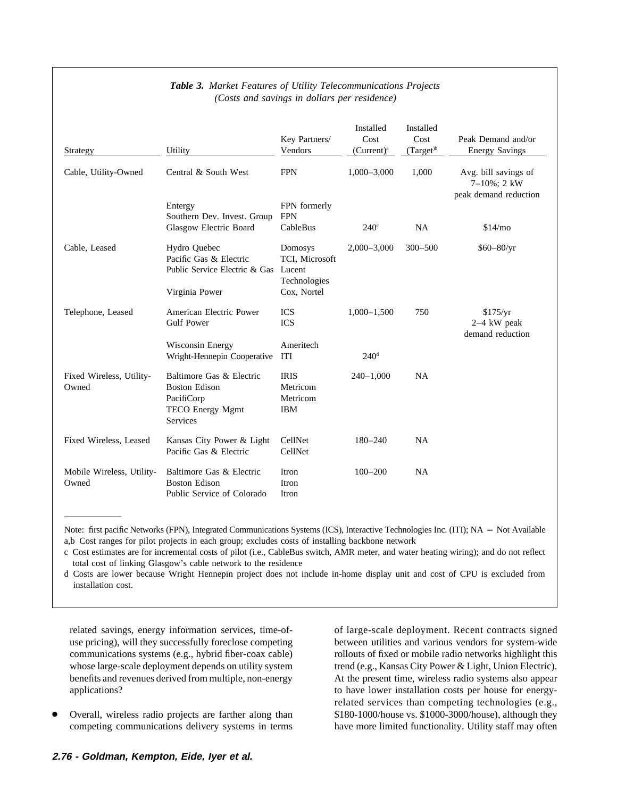| Strategy                           | Utility                                                                                               | Key Partners/<br>Vendors                                           | Installed<br>Cost<br>$(Current)^a$ | Installed<br>Cost<br>$^{(Target)^b}$ | Peak Demand and/or<br><b>Energy Savings</b>                  |
|------------------------------------|-------------------------------------------------------------------------------------------------------|--------------------------------------------------------------------|------------------------------------|--------------------------------------|--------------------------------------------------------------|
| Cable, Utility-Owned               | Central & South West                                                                                  | <b>FPN</b>                                                         | $1,000 - 3,000$                    | 1,000                                | Avg. bill savings of<br>7-10%; 2 kW<br>peak demand reduction |
|                                    | Entergy<br>Southern Dev. Invest. Group                                                                | FPN formerly<br><b>FPN</b>                                         |                                    |                                      |                                                              |
|                                    | Glasgow Electric Board                                                                                | CableBus                                                           | $240^\circ$                        | NA                                   | \$14/m <sub>o</sub>                                          |
| Cable, Leased                      | Hydro Quebec<br>Pacific Gas & Electric<br>Public Service Electric & Gas<br>Virginia Power             | Domosys<br>TCI, Microsoft<br>Lucent<br>Technologies<br>Cox, Nortel | $2,000 - 3,000$                    | $300 - 500$                          | $$60 - 80/yr$                                                |
| Telephone, Leased                  | American Electric Power<br><b>Gulf Power</b>                                                          | <b>ICS</b><br><b>ICS</b>                                           | $1,000-1,500$                      | 750                                  | \$175/yr<br>$2-4$ kW peak<br>demand reduction                |
|                                    | Wisconsin Energy<br>Wright-Hennepin Cooperative                                                       | Ameritech<br><b>ITI</b>                                            | 240 <sup>d</sup>                   |                                      |                                                              |
| Fixed Wireless, Utility-<br>Owned  | Baltimore Gas & Electric<br><b>Boston Edison</b><br>PacifiCorp<br><b>TECO Energy Mgmt</b><br>Services | <b>IRIS</b><br>Metricom<br>Metricom<br><b>IBM</b>                  | $240 - 1,000$                      | <b>NA</b>                            |                                                              |
| Fixed Wireless, Leased             | Kansas City Power & Light<br>Pacific Gas & Electric                                                   | CellNet<br>CellNet                                                 | $180 - 240$                        | <b>NA</b>                            |                                                              |
| Mobile Wireless, Utility-<br>Owned | Baltimore Gas & Electric<br><b>Boston Edison</b><br>Public Service of Colorado                        | Itron<br>Itron<br>Itron                                            | $100 - 200$                        | NA                                   |                                                              |

## *Table 3. Market Features of Utility Telecommunications Projects (Costs and savings in dollars per residence)*

Note: first pacific Networks (FPN), Integrated Communications Systems (ICS), Interactive Technologies Inc. (ITI); NA = Not Available a,b Cost ranges for pilot projects in each group; excludes costs of installing backbone network

c Cost estimates are for incremental costs of pilot (i.e., CableBus switch, AMR meter, and water heating wiring); and do not reflect total cost of linking Glasgow's cable network to the residence

d Costs are lower because Wright Hennepin project does not include in-home display unit and cost of CPU is excluded from installation cost.

use pricing), will they successfully foreclose competing between utilities and various vendors for system-wide communications systems (e.g., hybrid fiber-coax cable) rollouts of fixed or mobile radio networks highlight this whose large-scale deployment depends on utility system trend (e.g., Kansas City Power & Light, Union Electric). benefits and revenues derived from multiple, non-energy At the present time, wireless radio systems also appear applications? to have lower installation costs per house for energy-

competing communications delivery systems in terms have more limited functionality. Utility staff may often

related savings, energy information services, time-of- of large-scale deployment. Recent contracts signed related services than competing technologies (e.g., Overall, wireless radio projects are farther along than \$180-1000/house vs. \$1000-3000/house), although they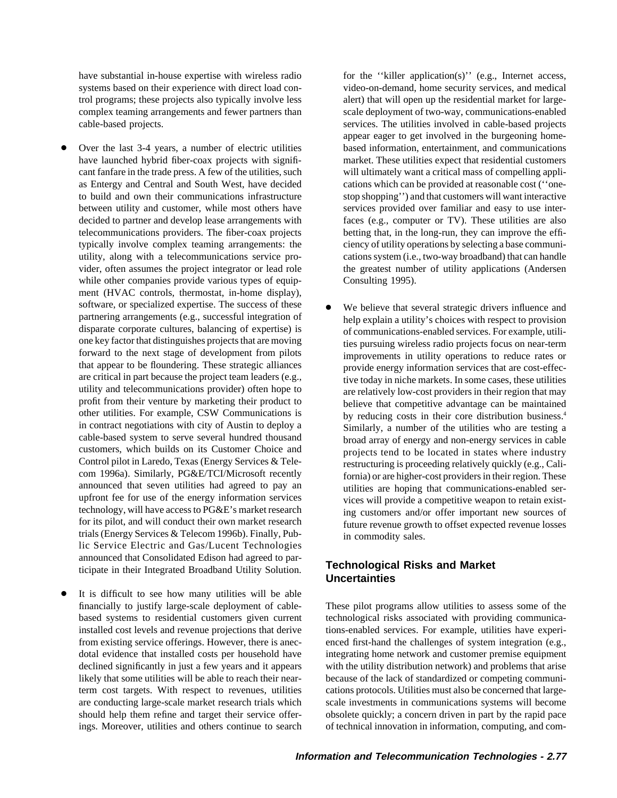have substantial in-house expertise with wireless radio for the "killer application(s)" (e.g., Internet access, systems based on their experience with direct load con- video-on-demand, home security services, and medical trol programs; these projects also typically involve less alert) that will open up the residential market for largecomplex teaming arrangements and fewer partners than scale deployment of two-way, communications-enabled cable-based projects. services. The utilities involved in cable-based projects

- have launched hybrid fiber-coax projects with signifi- market. These utilities expect that residential customers cant fanfare in the trade press. A few of the utilities, such will ultimately want a critical mass of compelling applias Entergy and Central and South West, have decided cations which can be provided at reasonable cost ("oneto build and own their communications infrastructure stop shopping'') and that customers will want interactive between utility and customer, while most others have services provided over familiar and easy to use interdecided to partner and develop lease arrangements with faces (e.g., computer or TV). These utilities are also telecommunications providers. The fiber-coax projects betting that, in the long-run, they can improve the effitypically involve complex teaming arrangements: the ciency of utility operations by selecting a base communiutility, along with a telecommunications service pro- cations system (i.e., two-way broadband) that can handle vider, often assumes the project integrator or lead role the greatest number of utility applications (Andersen while other companies provide various types of equip-<br>Consulting 1995). ment (HVAC controls, thermostat, in-home display), software, or specialized expertise. The success of these <br>partnering arrangements (e.g., successful integration of help explain a utility's choices with respect to provision trials (Energy Services & Telecom 1996b). Finally, Pub- in commodity sales. lic Service Electric and Gas/Lucent Technologies announced that Consolidated Edison had agreed to par- **Technological Risks and Market** ticipate in their Integrated Broadband Utility Solution. **Uncertainties**
- It is difficult to see how many utilities will be able

appear eager to get involved in the burgeoning home- Over the last 3-4 years, a number of electric utilities based information, entertainment, and communications

partnering arrangements (e.g., successful integration of help explain a utility's choices with respect to provision disparate corporate cultures, balancing of expertise) is disparate corporate cultures, balancing of expertise) is of communications-enabled services. For example, utili-<br>one key factor that distinguishes projects that are moving these pursuing wireless radio projects focus on pe ties pursuing wireless radio projects focus on near-term forward to the next stage of development from pilots improvements in utility operations to reduce rates or that appear to be floundering. These strategic alliances provide energy information services that are cost-effecare critical in part because the project team leaders (e.g.,<br>utility and telecommunications provider) often hope to<br>are relatively low-cost providers in their region that may utility and telecommunications provider) often hope to are relatively low-cost providers in their region that may<br>profit from their venture by marketing their product to believe that connective advantage can be maintained profit from their venture by marketing their product to<br>other utilities. For example, CSW Communications is<br>by reducing costs in their core distribution business 4 other utilities. For example, CSW Communications is by reducing costs in their core distribution business.<sup>4</sup><br>in contract negotiations with city of Austin to deploy a similarly a number of the utilities who are testing a Similarly, a number of the utilities who are testing a cable-based system to serve several hundred thousand broad array of energy and non-energy services in cable customers, which builds on its Customer Choice and projects tend to be located in states where industry customers, which builds on its Customer Choice and projects tend to be located in states where industry<br>Control pilot in Laredo, Texas (Energy Services & Tele-<br>restructuring is proceeding relatively quickly (e.g. Cali-Control pilot in Laredo, Texas (Energy Services & Tele-<br>
com 1996a). Similarly, PG&E/TCI/Microsoft recently<br>
fornia) or are higher-cost providers in their region. These com 1996a). Similarly, PG&E/TCI/Microsoft recently fornia) or are higher-cost providers in their region. These announced that seven utilities had agreed to pay an utilities are honing that communications-enabled serannounced that seven utilities had agreed to pay an utilities are hoping that communications-enabled ser-<br>upfront fee for use of the energy information services vices will provide a competitive weapon to retain existvices will provide a competitive weapon to retain existtechnology, will have access to PG&E's market research ing customers and/or offer important new sources of for its pilot, and will conduct their own market research future revenue growth to offset expected revenue losses future revenue growth to offset expected revenue losses

financially to justify large-scale deployment of cable- These pilot programs allow utilities to assess some of the based systems to residential customers given current technological risks associated with providing communicainstalled cost levels and revenue projections that derive tions-enabled services. For example, utilities have experifrom existing service offerings. However, there is anec- enced first-hand the challenges of system integration (e.g., dotal evidence that installed costs per household have integrating home network and customer premise equipment declined significantly in just a few years and it appears with the utility distribution network) and problems that arise likely that some utilities will be able to reach their near- because of the lack of standardized or competing communiterm cost targets. With respect to revenues, utilities cations protocols. Utilities must also be concerned that largeare conducting large-scale market research trials which scale investments in communications systems will become should help them refine and target their service offer- obsolete quickly; a concern driven in part by the rapid pace ings. Moreover, utilities and others continue to search of technical innovation in information, computing, and com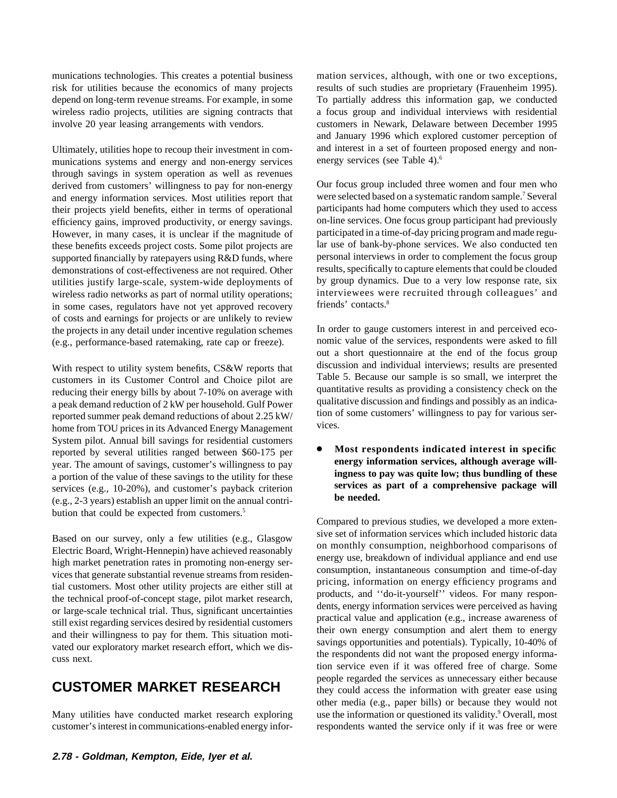munications technologies. This creates a potential business mation services, although, with one or two exceptions, risk for utilities because the economics of many projects results of such studies are proprietary (Frauenheim 1995). depend on long-term revenue streams. For example, in some To partially address this information gap, we conducted wireless radio projects, utilities are signing contracts that a focus group and individual interviews with residential involve 20 year leasing arrangements with vendors. customers in Newark, Delaware between December 1995

munications systems and energy and non-energy services through savings in system operation as well as revenues derived from customers' willingness to pay for non-energy Our focus group included three women and four men who<br>and energy information services. Most utilities report that were selected based on a systematic random sample. and energy information services. Most utilities report that were selected based on a systematic random sample.<sup>7</sup> Several their projects vield benefits, either in terms of operational participants had home computers which their projects yield benefits, either in terms of operational participants had home computers which they used to access<br>efficiency gains, improved productivity, or energy savings. on-line services. One focus group particip efficiency gains, improved productivity, or energy savings. However, in many cases, it is unclear if the magnitude of participated in a time-of-day pricing program and made regu-<br>these benefits exceeds project costs. Some pilot projects are lar use of bank-by-phone services. We als these benefits exceeds project costs. Some pilot projects are lar use of bank-by-phone services. We also conducted ten<br>supported financially by rate navers using  $R\&D$  funds, where personal interviews in order to complem supported financially by ratepayers using R&D funds, where demonstrations of cost-effectiveness are not required. Other results, specifically to capture elements that could be clouded utilities justify large-scale, system-wide deployments of by group dynamics. Due to a very low response rate, six<br>wireless radio networks as part of normal utility operations: interviewees were recruited through colleagues wireless radio networks as part of normal utility operations; interviewees we<br>in some cases regulators have not vet and recovery friends' contacts.<sup>8</sup> in some cases, regulators have not yet approved recovery of costs and earnings for projects or are unlikely to review the projects in any detail under incentive regulation schemes In order to gauge customers interest in and perceived eco-<br>(e.g., performance-based ratemaking, rate can or freeze). nomic value of the services, respondents we (e.g., performance-based ratemaking, rate cap or freeze).

customers in its Customer Control and Choice pilot are<br>reducing their energy bills by about 7-10% on average with<br>a peak demand reduction of 2 kW per household. Gulf Power<br>reported summer peak demand reductions of about 2. System pilot. Annual bill savings for residential customers reported by several utilities ranged between \$60-175 per<br>
year. The amount of savings, customer's willingness to pay<br>
a portion of the value of these savings to the utility for these<br>
services (e.g., 10-20%), and customer' bution that could be expected from customers.<sup>5</sup>

customer's interest in communications-enabled energy infor- respondents wanted the service only if it was free or were

and January 1996 which explored customer perception of Ultimately, utilities hope to recoup their investment in com-<br>munications systems and energy and non-energy services energy services (see Table 4).<sup>6</sup>

out a short questionnaire at the end of the focus group With respect to utility system benefits, CS&W reports that discussion and individual interviews; results are presented customers in its Customer Control and Choice pilot are Table 5. Because our sample is so small, we inte

Compared to previous studies, we developed a more exten-Based on our survey, only a few utilities (e.g., Glasgow<br>
Electric Board, Wright-Hennepin) have achieved reasonably<br>
thigh market penetration rates in promoting non-energy ser-<br>
wices that generate substantial revenue stre tion service even if it was offered free of charge. Some people regarded the services as unnecessary either because **CUSTOMER MARKET RESEARCH** they could access the information with greater ease using other media (e.g., paper bills) or because they would not Many utilities have conducted market research exploring use the information or questioned its validity.<sup>9</sup> Overall, most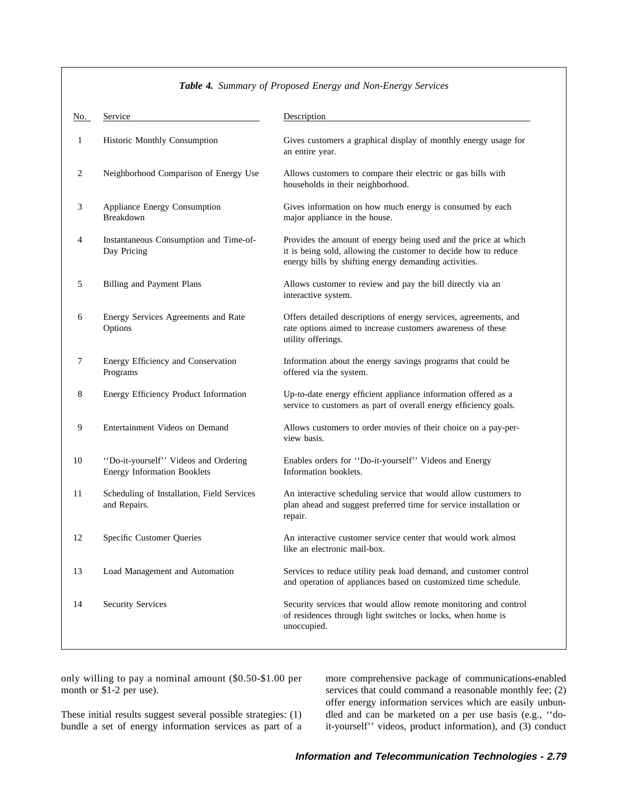| No. | Service                                                                    | Description                                                                                                                                                                                 |  |  |  |  |  |
|-----|----------------------------------------------------------------------------|---------------------------------------------------------------------------------------------------------------------------------------------------------------------------------------------|--|--|--|--|--|
| 1   | Historic Monthly Consumption                                               | Gives customers a graphical display of monthly energy usage for<br>an entire year.                                                                                                          |  |  |  |  |  |
| 2   | Neighborhood Comparison of Energy Use                                      | Allows customers to compare their electric or gas bills with<br>households in their neighborhood.                                                                                           |  |  |  |  |  |
| 3   | Appliance Energy Consumption<br>Breakdown                                  | Gives information on how much energy is consumed by each<br>major appliance in the house.                                                                                                   |  |  |  |  |  |
| 4   | Instantaneous Consumption and Time-of-<br>Day Pricing                      | Provides the amount of energy being used and the price at which<br>it is being sold, allowing the customer to decide how to reduce<br>energy bills by shifting energy demanding activities. |  |  |  |  |  |
| 5   | Billing and Payment Plans                                                  | Allows customer to review and pay the bill directly via an<br>interactive system.                                                                                                           |  |  |  |  |  |
| 6   | Energy Services Agreements and Rate<br>Options                             | Offers detailed descriptions of energy services, agreements, and<br>rate options aimed to increase customers awareness of these<br>utility offerings.                                       |  |  |  |  |  |
| 7   | Energy Efficiency and Conservation<br>Programs                             | Information about the energy savings programs that could be<br>offered via the system.                                                                                                      |  |  |  |  |  |
| 8   | Energy Efficiency Product Information                                      | Up-to-date energy efficient appliance information offered as a<br>service to customers as part of overall energy efficiency goals.                                                          |  |  |  |  |  |
| 9   | Entertainment Videos on Demand                                             | Allows customers to order movies of their choice on a pay-per-<br>view basis.                                                                                                               |  |  |  |  |  |
| 10  | "Do-it-yourself" Videos and Ordering<br><b>Energy Information Booklets</b> | Enables orders for "Do-it-yourself" Videos and Energy<br>Information booklets.                                                                                                              |  |  |  |  |  |
| 11  | Scheduling of Installation, Field Services<br>and Repairs.                 | An interactive scheduling service that would allow customers to<br>plan ahead and suggest preferred time for service installation or<br>repair.                                             |  |  |  |  |  |
| 12  | Specific Customer Queries                                                  | An interactive customer service center that would work almost<br>like an electronic mail-box.                                                                                               |  |  |  |  |  |
| 13  | Load Management and Automation                                             | Services to reduce utility peak load demand, and customer control<br>and operation of appliances based on customized time schedule.                                                         |  |  |  |  |  |
| 14  | <b>Security Services</b>                                                   | Security services that would allow remote monitoring and control<br>of residences through light switches or locks, when home is<br>unoccupied.                                              |  |  |  |  |  |

### *Table 4. Summary of Proposed Energy and Non-Energy Services*

only willing to pay a nominal amount (\$0.50-\$1.00 per more comprehensive package of communications-enabled

month or \$1-2 per use). services that could command a reasonable monthly fee; (2) offer energy information services which are easily unbun-These initial results suggest several possible strategies: (1) dled and can be marketed on a per use basis (e.g., "dobundle a set of energy information services as part of a it-yourself'' videos, product information), and (3) conduct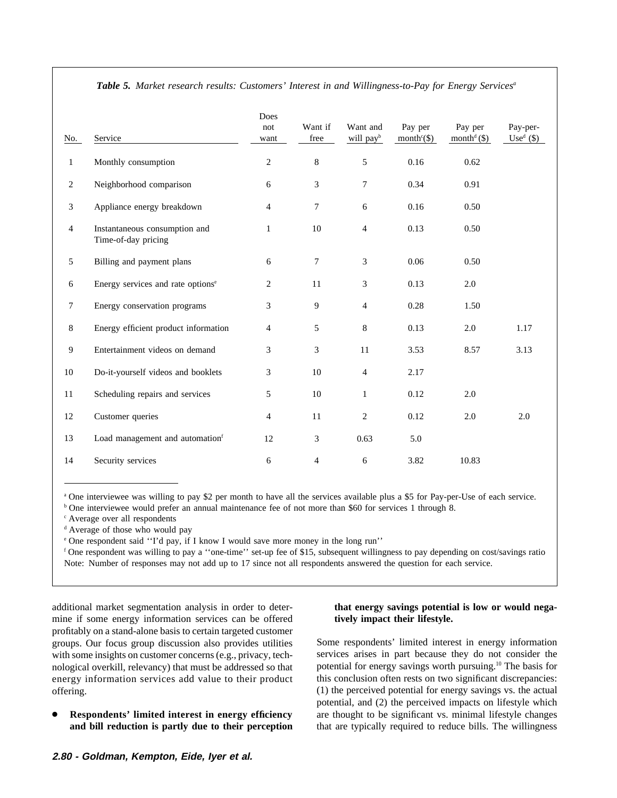| No.            | Service                                              | Does<br>not<br>want | Want if<br>free | Want and<br>will pay <sup>b</sup> | Pay per<br>month <sup>c</sup> $(\$)$ | Pay per<br>month <sup>d</sup> $(\$)$ | Pay-per-<br>$Used(\$))$ |
|----------------|------------------------------------------------------|---------------------|-----------------|-----------------------------------|--------------------------------------|--------------------------------------|-------------------------|
| $\mathbf{1}$   | Monthly consumption                                  | 2                   | 8               | 5                                 | 0.16                                 | 0.62                                 |                         |
| $\overline{2}$ | Neighborhood comparison                              | 6                   | 3               | $\tau$                            | 0.34                                 | 0.91                                 |                         |
| 3              | Appliance energy breakdown                           | $\overline{4}$      | 7               | 6                                 | 0.16                                 | 0.50                                 |                         |
| $\overline{4}$ | Instantaneous consumption and<br>Time-of-day pricing | 1                   | 10              | $\overline{4}$                    | 0.13                                 | 0.50                                 |                         |
| $\mathfrak{S}$ | Billing and payment plans                            | 6                   | 7               | $\mathfrak{Z}$                    | 0.06                                 | 0.50                                 |                         |
| 6              | Energy services and rate options <sup>e</sup>        | 2                   | 11              | 3                                 | 0.13                                 | 2.0                                  |                         |
| $\tau$         | Energy conservation programs                         | 3                   | 9               | $\overline{4}$                    | 0.28                                 | 1.50                                 |                         |
| 8              | Energy efficient product information                 | $\overline{4}$      | 5               | 8                                 | 0.13                                 | 2.0                                  | 1.17                    |
| 9              | Entertainment videos on demand                       | 3                   | 3               | 11                                | 3.53                                 | 8.57                                 | 3.13                    |
| 10             | Do-it-yourself videos and booklets                   | 3                   | 10              | $\overline{4}$                    | 2.17                                 |                                      |                         |
| 11             | Scheduling repairs and services                      | 5                   | 10              | 1                                 | 0.12                                 | 2.0                                  |                         |
| 12             | Customer queries                                     | $\overline{4}$      | 11              | $\mathbf{2}$                      | 0.12                                 | 2.0                                  | 2.0                     |
| 13             | Load management and automationf                      | 12                  | 3               | 0.63                              | 5.0                                  |                                      |                         |
| 14             | Security services                                    | 6                   | $\overline{4}$  | 6                                 | 3.82                                 | 10.83                                |                         |

*Table 5. Market research results: Customers' Interest in and Willingness-to-Pay for Energy Servicesa*

<sup>a</sup> One interviewee was willing to pay \$2 per month to have all the services available plus a \$5 for Pay-per-Use of each service.

<sup>b</sup> One interviewee would prefer an annual maintenance fee of not more than \$60 for services 1 through 8.

<sup>c</sup> Average over all respondents

<sup>d</sup> Average of those who would pay

<sup>e</sup> One respondent said ''I'd pay, if I know I would save more money in the long run''

<sup>f</sup> One respondent was willing to pay a ''one-time'' set-up fee of \$15, subsequent willingness to pay depending on cost/savings ratio Note: Number of responses may not add up to 17 since not all respondents answered the question for each service.

additional market segmentation analysis in order to deter- **that energy savings potential is low or would nega**mine if some energy information services can be offered **tively impact their lifestyle.** profitably on a stand-alone basis to certain targeted customer groups. Our focus group discussion also provides utilities Some respondents' limited interest in energy information with some insights on customer concerns (e.g., privacy, tech-<br>services arises in part because they do not with some insights on customer concerns (e.g., privacy, tech-<br>nological overkill, relevancy) that must be addressed so that potential for energy savings worth pursuing.<sup>10</sup> The basis for nological overkill, relevancy) that must be addressed so that potential for energy savings worth pursuing.<sup>10</sup> The basis for energy information services add value to their product this conclusion often rests on two signifi energy information services add value to their product offering. (1) the perceived potential for energy savings vs. the actual

### **2.80 - Goldman, Kempton, Eide, Iyer et al.**

potential, and (2) the perceived impacts on lifestyle which **Respondents' limited interest in energy efficiency** are thought to be significant vs. minimal lifestyle changes **and bill reduction is partly due to their perception** that are typically required to reduce bills. The willingness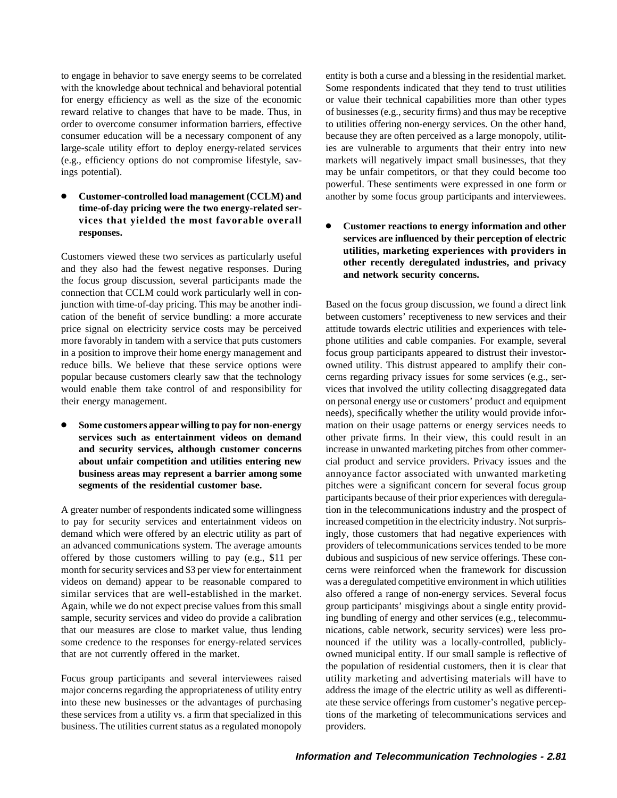to engage in behavior to save energy seems to be correlated entity is both a curse and a blessing in the residential market.

● **Customer-controlled load management (CCLM) and** another by some focus group participants and interviewees. **time-of-day pricing were the two energy-related ser-**

connection that CCLM could work particularly well in conjunction with time-of-day pricing. This may be another indi- Based on the focus group discussion, we found a direct link cation of the benefit of service bundling: a more accurate between customers' receptiveness to new services and their price signal on electricity service costs may be perceived attitude towards electric utilities and experiences with telemore favorably in tandem with a service that puts customers phone utilities and cable companies. For example, several in a position to improve their home energy management and focus group participants appeared to distrust their investorreduce bills. We believe that these service options were owned utility. This distrust appeared to amplify their conpopular because customers clearly saw that the technology cerns regarding privacy issues for some services (e.g., serwould enable them take control of and responsibility for vices that involved the utility collecting disaggregated data their energy management. on personal energy use or customers' product and equipment

A greater number of respondents indicated some willingness tion in the telecommunications industry and the prospect of to pay for security services and entertainment videos on increased competition in the electricity industry. Not surprisdemand which were offered by an electric utility as part of ingly, those customers that had negative experiences with an advanced communications system. The average amounts providers of telecommunications services tended to be more offered by those customers willing to pay (e.g., \$11 per dubious and suspicious of new service offerings. These conmonth for security services and \$3 per view for entertainment cerns were reinforced when the framework for discussion videos on demand) appear to be reasonable compared to was a deregulated competitive environment in which utilities similar services that are well-established in the market. also offered a range of non-energy services. Several focus Again, while we do not expect precise values from this small group participants' misgivings about a single entity providsample, security services and video do provide a calibration ing bundling of energy and other services (e.g., telecommuthat our measures are close to market value, thus lending nications, cable network, security services) were less prosome credence to the responses for energy-related services nounced if the utility was a locally-controlled, publiclythat are not currently offered in the market. owned municipal entity. If our small sample is reflective of

major concerns regarding the appropriateness of utility entry address the image of the electric utility as well as differentiinto these new businesses or the advantages of purchasing ate these service offerings from customer's negative percepthese services from a utility vs. a firm that specialized in this tions of the marketing of telecommunications services and business. The utilities current status as a regulated monopoly providers.

with the knowledge about technical and behavioral potential Some respondents indicated that they tend to trust utilities for energy efficiency as well as the size of the economic or value their technical capabilities more than other types reward relative to changes that have to be made. Thus, in of businesses (e.g., security firms) and thus may be receptive order to overcome consumer information barriers, effective to utilities offering non-energy services. On the other hand, consumer education will be a necessary component of any because they are often perceived as a large monopoly, utilitlarge-scale utility effort to deploy energy-related services ies are vulnerable to arguments that their entry into new (e.g., efficiency options do not compromise lifestyle, sav- markets will negatively impact small businesses, that they ings potential). may be unfair competitors, or that they could become too powerful. These sentiments were expressed in one form or

**vices that yielded the most favorable overall** ● **Customer reactions to energy information and other responses. services are influenced by their perception of electric** Customers viewed these two services as particularly useful<br>and they also had the fewest negative responses. During<br>the focus group discussion, several participants made the<br>discussion and network security concerns.

needs), specifically whether the utility would provide infor- **Some customers appear willing to pay for non-energy** mation on their usage patterns or energy services needs to **services such as entertainment videos on demand** other private firms. In their view, this could result in an **and security services, although customer concerns** increase in unwanted marketing pitches from other commer**about unfair competition and utilities entering new** cial product and service providers. Privacy issues and the **business areas may represent a barrier among some** annoyance factor associated with unwanted marketing **segments of the residential customer base.** pitches were a significant concern for several focus group participants because of their prior experiences with deregulathe population of residential customers, then it is clear that Focus group participants and several interviewees raised utility marketing and advertising materials will have to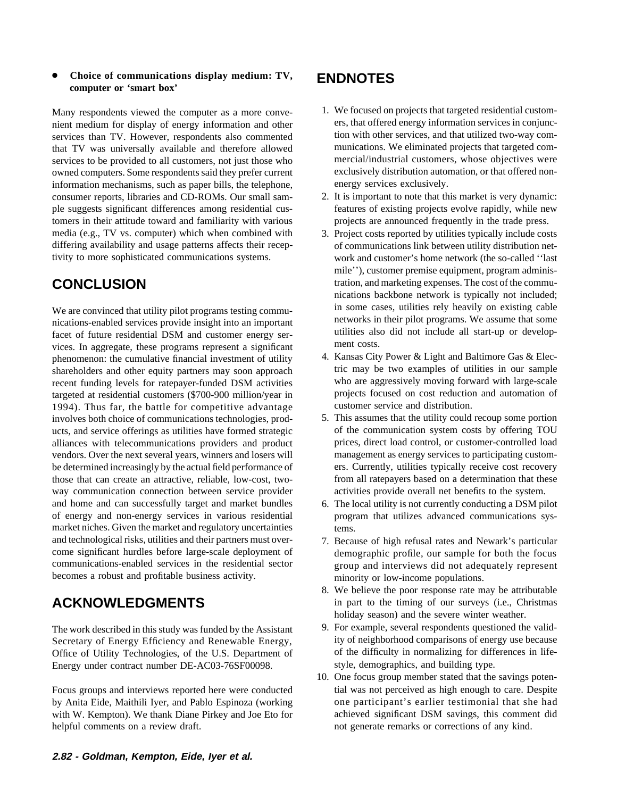### ● **Choice of communications display medium: TV, ENDNOTES computer or 'smart box'**

nient medium for display of energy information and other ers, that offered energy information services in conjunc-<br>services than TV. However, respondents also commented tion with other services, and that utilized two-way c services than TV. However, respondents also commented tion with other services, and that utilized two-way com-<br>that TV was universally available and therefore allowed munications. We eliminated projects that targeted comthat TV was universally available and therefore allowed munications. We eliminated projects that targeted com-<br>services to be provided to all customers, not just those who mercial/industrial customers, whose objectives wer services to be provided to all customers, not just those who mercial/industrial customers, whose objectives were owned computers. Some respondents said they prefer current exclusively distribution automation, or that offer owned computers. Some respondents said they prefer current information mechanisms, such as paper bills, the telephone, energy services exclusively. consumer reports, libraries and CD-ROMs. Our small sam- 2. It is important to note that this market is very dynamic: ple suggests significant differences among residential cus- features of existing projects evolve rapidly, while new tomers in their attitude toward and familiarity with various projects are announced frequently in the trade press. media (e.g., TV vs. computer) which when combined with 3. Project costs reported by utilities typically include costs differing availability and usage patterns affects their recep- of communications link between utility distribution nettivity to more sophisticated communications systems. work and customer's home network (the so-called ''last

nications-enabled services provide insight into an important<br>facet of future residential DSM and customer energy ser-<br>view in their pilot programs. We assume that some<br>ment costs. vices. In aggregate, these programs represent a significant phenomenon: the cumulative financial investment of utility and Kansas City Power & Light and Baltimore Gas & Elec-<br>shareholders and other equity partners may soon approach tric may be two examples of utilities in our sampl shareholders and other equity partners may soon approach tric may be two examples of utilities in our sample<br>recent funding levels for rate are funded DSM activities who are aggressively moving forward with large-scale recent funding levels for ratepayer-funded DSM activities who are aggressively moving forward with large-scale<br>targeted at residential customers (\$700-900 million/vear in projects focused on cost reduction and automation o targeted at residential customers (\$700-900 million/year in projects focused on cost reduction 1994). Thus far, the battle for competitive advantage customer service and distribution. 1994). Thus far, the battle for competitive advantage involves both choice of communications technologies, prod- 5. This assumes that the utility could recoup some portion ucts, and service offerings as utilities have formed strategic of the communication system costs by offering TOU alliances with telecommunications providers and product prices, direct load control, or customer-controlled load vendors. Over the next several years, winners and losers will management as energy services to participating custombe determined increasingly by the actual field performance of ers. Currently, utilities typically receive cost recovery those that can create an attractive, reliable, low-cost, two- from all ratepayers based on a determination that these way communication connection between service provider activities provide overall net benefits to the system. and home and can successfully target and market bundles 6. The local utility is not currently conducting a DSM pilot of energy and non-energy services in various residential program that utilizes advanced communications sysmarket niches. Given the market and regulatory uncertainties tems. and technological risks, utilities and their partners must over-<br>
T. Because of high refusal rates and Newark's particular<br>

come significant hurdles before large-scale deployment of<br>  $\frac{1}{2}$  demographic profile, our sam come significant hurdles before large-scale deployment of demographic profile, our sample for both the focus communications-enabled services in the residential sector or our and interviews did not adequately represent becomes a robust and profitable business activity. minority or low-income populations.

Secretary of Energy Efficiency and Renewable Energy, ity of neighborhood comparisons of energy use because<br>Office of Utility Technologies, of the U.S. Department of of the difficulty in normalizing for differences in life-Office of Utility Technologies, of the U.S. Department of Energy under contract number DE-AC03-76SF00098. style, demographics, and building type.

by Anita Eide, Maithili Iyer, and Pablo Espinoza (working one participant's earlier testimonial that she had with W. Kempton). We thank Diane Pirkey and Joe Eto for achieved significant DSM savings, this comment did helpful comments on a review draft. The notion of generate remarks or corrections of any kind.

- Many respondents viewed the computer as a more conve-<br>nient medium for display of energy information and other ers, that offered energy information services in conjunc-
	-
- mile''), customer premise equipment, program adminis-**CONCLUSION** tration, and marketing expenses. The cost of the communications backbone network is typically not included; We are convinced that utility pilot programs testing commu-<br>
in some cases, utilities rely heavily on existing cable<br>
incations-enabled services provide insight into an important<br>
into their pilot programs. We assume that
	-
	-
	-
	- group and interviews did not adequately represent
- 8. We believe the poor response rate may be attributable **ACKNOWLEDGMENTS** in part to the timing of our surveys (i.e., Christmas holiday season) and the severe winter weather.
- The work described in this study was funded by the Assistant 9. For example, several respondents questioned the valid-<br>Secretary of Energy Efficiency and Renewable Energy. ity of neighborhood comparisons of energy use beca
- 10. One focus group member stated that the savings poten-Focus groups and interviews reported here were conducted tial was not perceived as high enough to care. Despite